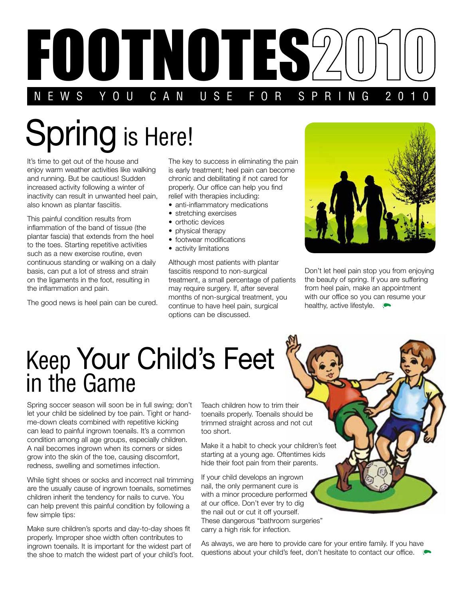

## Spring is Here!

It's time to get out of the house and enjoy warm weather activities like walking and running. But be cautious! Sudden increased activity following a winter of inactivity can result in unwanted heel pain, also known as plantar fasciitis.

This painful condition results from inflammation of the band of tissue (the plantar fascia) that extends from the heel to the toes. Starting repetitive activities such as a new exercise routine, even continuous standing or walking on a daily basis, can put a lot of stress and strain on the ligaments in the foot, resulting in the inflammation and pain.

The good news is heel pain can be cured.

The key to success in eliminating the pain is early treatment; heel pain can become chronic and debilitating if not cared for properly. Our office can help you find relief with therapies including:

- anti-inflammatory medications
- stretching exercises
- orthotic devices
- physical therapy
- footwear modifications
- activity limitations

Although most patients with plantar fasciitis respond to non-surgical treatment, a small percentage of patients may require surgery. If, after several months of non-surgical treatment, you continue to have heel pain, surgical options can be discussed.



Don't let heel pain stop you from enjoying the beauty of spring. If you are suffering from heel pain, make an appointment with our office so you can resume your healthy, active lifestyle.

## Keep Your Child's Feet in the Game

Spring soccer season will soon be in full swing; don't let your child be sidelined by toe pain. Tight or handme-down cleats combined with repetitive kicking can lead to painful ingrown toenails. It's a common condition among all age groups, especially children. A nail becomes ingrown when its corners or sides grow into the skin of the toe, causing discomfort, redness, swelling and sometimes infection.

While tight shoes or socks and incorrect nail trimming are the usually cause of ingrown toenails, sometimes children inherit the tendency for nails to curve. You can help prevent this painful condition by following a few simple tips:

Make sure children's sports and day-to-day shoes fit properly. Improper shoe width often contributes to ingrown toenails. It is important for the widest part of the shoe to match the widest part of your child's foot.

Teach children how to trim their toenails properly. Toenails should be trimmed straight across and not cut too short.

Make it a habit to check your children's feet starting at a young age. Oftentimes kids hide their foot pain from their parents.

If your child develops an ingrown nail, the only permanent cure is with a minor procedure performed at our office. Don't ever try to dig the nail out or cut it off yourself. These dangerous "bathroom surgeries" carry a high risk for infection.

As always, we are here to provide care for your entire family. If you have questions about your child's feet, don't hesitate to contact our office.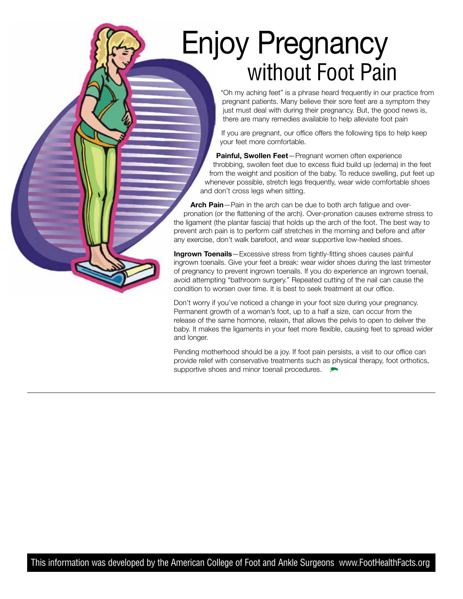## Enjoy Pregnancy without Foot Pain

"Oh my aching feet" is a phrase heard frequently in our practice from pregnant patients. Many believe their sore feet are a symptom they just must deal with during their pregnancy. But, the good news is, there are many remedies available to help alleviate foot pain

If you are pregnant, our office offers the following tips to help keep your feet more comfortable.

**Painful, Swollen Feet**—Pregnant women often experience throbbing, swollen feet due to excess fluid build up (edema) in the feet from the weight and position of the baby. To reduce swelling, put feet up whenever possible, stretch legs frequently, wear wide comfortable shoes and don't cross legs when sitting.

**Arch Pain**—Pain in the arch can be due to both arch fatigue and overpronation (or the flattening of the arch). Over-pronation causes extreme stress to the ligament (the plantar fascia) that holds up the arch of the foot. The best way to prevent arch pain is to perform calf stretches in the morning and before and after any exercise, don't walk barefoot, and wear supportive low-heeled shoes.

**Ingrown Toenails**—Excessive stress from tightly-fitting shoes causes painful ingrown toenails. Give your feet a break: wear wider shoes during the last trimester of pregnancy to prevent ingrown toenails. If you do experience an ingrown toenail, avoid attempting "bathroom surgery." Repeated cutting of the nail can cause the condition to worsen over time. It is best to seek treatment at our office.

Don't worry if you've noticed a change in your foot size during your pregnancy. Permanent growth of a woman's foot, up to a half a size, can occur from the release of the same hormone, relaxin, that allows the pelvis to open to deliver the baby. It makes the ligaments in your feet more flexible, causing feet to spread wider and longer.

Pending motherhood should be a joy. If foot pain persists, a visit to our office can provide relief with conservative treatments such as physical therapy, foot orthotics, supportive shoes and minor toenail procedures.